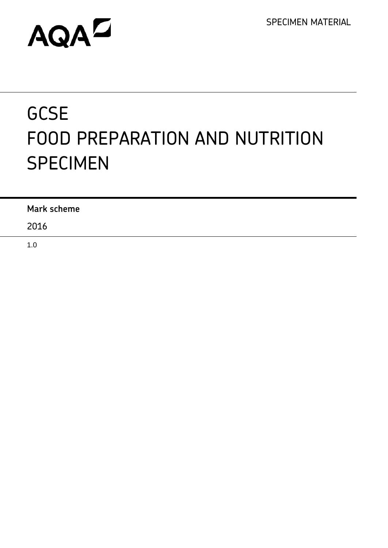SPECIMEN MATERIAL

# AQAD

# **GCSE** FOOD PREPARATION AND NUTRITION SPECIMEN

| <b>Mark scheme</b> |  |
|--------------------|--|
| 2016               |  |

1.0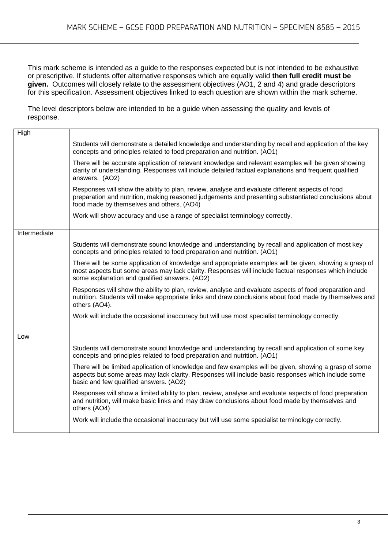This mark scheme is intended as a guide to the responses expected but is not intended to be exhaustive or prescriptive. If students offer alternative responses which are equally valid **then full credit must be given.** Outcomes will closely relate to the assessment objectives (AO1, 2 and 4) and grade descriptors for this specification. Assessment objectives linked to each question are shown within the mark scheme.

The level descriptors below are intended to be a guide when assessing the quality and levels of response.

| High         |                                                                                                                                                                                                                                                                 |
|--------------|-----------------------------------------------------------------------------------------------------------------------------------------------------------------------------------------------------------------------------------------------------------------|
|              | Students will demonstrate a detailed knowledge and understanding by recall and application of the key<br>concepts and principles related to food preparation and nutrition. (AO1)                                                                               |
|              | There will be accurate application of relevant knowledge and relevant examples will be given showing<br>clarity of understanding. Responses will include detailed factual explanations and frequent qualified<br>answers. (AO2)                                 |
|              | Responses will show the ability to plan, review, analyse and evaluate different aspects of food<br>preparation and nutrition, making reasoned judgements and presenting substantiated conclusions about<br>food made by themselves and others. (AO4)            |
|              | Work will show accuracy and use a range of specialist terminology correctly.                                                                                                                                                                                    |
| Intermediate |                                                                                                                                                                                                                                                                 |
|              | Students will demonstrate sound knowledge and understanding by recall and application of most key<br>concepts and principles related to food preparation and nutrition. (AO1)                                                                                   |
|              | There will be some application of knowledge and appropriate examples will be given, showing a grasp of<br>most aspects but some areas may lack clarity. Responses will include factual responses which include<br>some explanation and qualified answers. (AO2) |
|              | Responses will show the ability to plan, review, analyse and evaluate aspects of food preparation and<br>nutrition. Students will make appropriate links and draw conclusions about food made by themselves and<br>others (AO4).                                |
|              | Work will include the occasional inaccuracy but will use most specialist terminology correctly.                                                                                                                                                                 |
| Low          |                                                                                                                                                                                                                                                                 |
|              | Students will demonstrate sound knowledge and understanding by recall and application of some key<br>concepts and principles related to food preparation and nutrition. (AO1)                                                                                   |
|              | There will be limited application of knowledge and few examples will be given, showing a grasp of some<br>aspects but some areas may lack clarity. Responses will include basic responses which include some<br>basic and few qualified answers. (AO2)          |
|              | Responses will show a limited ability to plan, review, analyse and evaluate aspects of food preparation<br>and nutrition, will make basic links and may draw conclusions about food made by themselves and<br>others (AO4)                                      |
|              | Work will include the occasional inaccuracy but will use some specialist terminology correctly.                                                                                                                                                                 |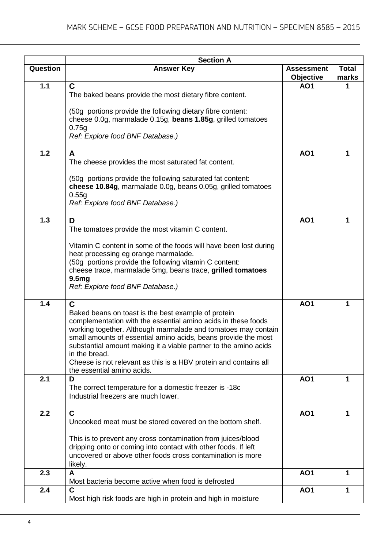|          | <b>Section A</b>                                                                                                               |                   |              |
|----------|--------------------------------------------------------------------------------------------------------------------------------|-------------------|--------------|
| Question | <b>Answer Key</b>                                                                                                              | <b>Assessment</b> | <b>Total</b> |
|          |                                                                                                                                | Objective         | marks        |
| 1.1      | C                                                                                                                              | <b>AO1</b>        | 1            |
|          | The baked beans provide the most dietary fibre content.                                                                        |                   |              |
|          | (50g portions provide the following dietary fibre content:                                                                     |                   |              |
|          | cheese 0.0g, marmalade 0.15g, beans 1.85g, grilled tomatoes                                                                    |                   |              |
|          | 0.75g                                                                                                                          |                   |              |
|          | Ref: Explore food BNF Database.)                                                                                               |                   |              |
| 1.2      | A                                                                                                                              | <b>AO1</b>        | 1            |
|          | The cheese provides the most saturated fat content.                                                                            |                   |              |
|          |                                                                                                                                |                   |              |
|          | (50g portions provide the following saturated fat content:<br>cheese 10.84g, marmalade 0.0g, beans 0.05g, grilled tomatoes     |                   |              |
|          | 0.55g                                                                                                                          |                   |              |
|          | Ref: Explore food BNF Database.)                                                                                               |                   |              |
|          |                                                                                                                                |                   |              |
| 1.3      | D<br>The tomatoes provide the most vitamin C content.                                                                          | <b>AO1</b>        | 1            |
|          |                                                                                                                                |                   |              |
|          | Vitamin C content in some of the foods will have been lost during                                                              |                   |              |
|          | heat processing eg orange marmalade.                                                                                           |                   |              |
|          | (50g portions provide the following vitamin C content:<br>cheese trace, marmalade 5mg, beans trace, grilled tomatoes           |                   |              |
|          | 9.5 <sub>mg</sub>                                                                                                              |                   |              |
|          | Ref: Explore food BNF Database.)                                                                                               |                   |              |
|          |                                                                                                                                |                   |              |
| 1.4      | C                                                                                                                              | <b>AO1</b>        | 1            |
|          | Baked beans on toast is the best example of protein<br>complementation with the essential amino acids in these foods           |                   |              |
|          | working together. Although marmalade and tomatoes may contain                                                                  |                   |              |
|          | small amounts of essential amino acids, beans provide the most                                                                 |                   |              |
|          | substantial amount making it a viable partner to the amino acids<br>in the bread.                                              |                   |              |
|          | Cheese is not relevant as this is a HBV protein and contains all                                                               |                   |              |
|          | the essential amino acids.                                                                                                     |                   |              |
| 2.1      | D                                                                                                                              | <b>AO1</b>        | 1            |
|          | The correct temperature for a domestic freezer is -18c                                                                         |                   |              |
|          | Industrial freezers are much lower.                                                                                            |                   |              |
| 2.2      | $\mathbf C$                                                                                                                    | <b>AO1</b>        | 1            |
|          | Uncooked meat must be stored covered on the bottom shelf.                                                                      |                   |              |
|          |                                                                                                                                |                   |              |
|          | This is to prevent any cross contamination from juices/blood<br>dripping onto or coming into contact with other foods. If left |                   |              |
|          | uncovered or above other foods cross contamination is more                                                                     |                   |              |
|          | likely.                                                                                                                        |                   |              |
| 2.3      | A                                                                                                                              | <b>AO1</b>        | 1            |
|          | Most bacteria become active when food is defrosted                                                                             |                   |              |
| 2.4      | $\mathbf C$<br>Most high risk foods are high in protein and high in moisture                                                   | <b>AO1</b>        | 1            |
|          |                                                                                                                                |                   |              |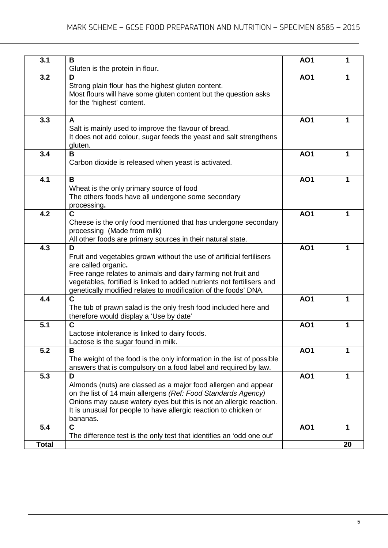| 3.1          | В<br>Gluten is the protein in flour.                                                                                                                                                                                                                                                                           | <b>AO1</b> | 1  |
|--------------|----------------------------------------------------------------------------------------------------------------------------------------------------------------------------------------------------------------------------------------------------------------------------------------------------------------|------------|----|
| 3.2          | D<br>Strong plain flour has the highest gluten content.<br>Most flours will have some gluten content but the question asks<br>for the 'highest' content.                                                                                                                                                       | <b>AO1</b> | 1  |
| 3.3          | A<br>Salt is mainly used to improve the flavour of bread.<br>It does not add colour, sugar feeds the yeast and salt strengthens<br>gluten.                                                                                                                                                                     | <b>AO1</b> | 1  |
| 3.4          | В<br>Carbon dioxide is released when yeast is activated.                                                                                                                                                                                                                                                       | <b>AO1</b> |    |
| 4.1          | B<br>Wheat is the only primary source of food<br>The others foods have all undergone some secondary<br>processing.                                                                                                                                                                                             | <b>AO1</b> | 1  |
| 4.2          | C<br>Cheese is the only food mentioned that has undergone secondary<br>processing (Made from milk)<br>All other foods are primary sources in their natural state.                                                                                                                                              | <b>AO1</b> | 1  |
| 4.3          | D<br>Fruit and vegetables grown without the use of artificial fertilisers<br>are called organic.<br>Free range relates to animals and dairy farming not fruit and<br>vegetables, fortified is linked to added nutrients not fertilisers and<br>genetically modified relates to modification of the foods' DNA. | <b>AO1</b> | 1  |
| 4.4          | Ć<br>The tub of prawn salad is the only fresh food included here and<br>therefore would display a 'Use by date'                                                                                                                                                                                                | <b>AO1</b> | 1  |
| 5.1          | $\mathbf C$<br>Lactose intolerance is linked to dairy foods.<br>Lactose is the sugar found in milk.                                                                                                                                                                                                            | <b>AO1</b> | 1  |
| 5.2          | В<br>The weight of the food is the only information in the list of possible<br>answers that is compulsory on a food label and required by law.                                                                                                                                                                 | <b>AO1</b> | 1  |
| 5.3          | D<br>Almonds (nuts) are classed as a major food allergen and appear<br>on the list of 14 main allergens (Ref: Food Standards Agency)<br>Onions may cause watery eyes but this is not an allergic reaction.<br>It is unusual for people to have allergic reaction to chicken or<br>bananas.                     | <b>AO1</b> | 1  |
| 5.4          | C<br>The difference test is the only test that identifies an 'odd one out'                                                                                                                                                                                                                                     | <b>AO1</b> | 1  |
| <b>Total</b> |                                                                                                                                                                                                                                                                                                                |            | 20 |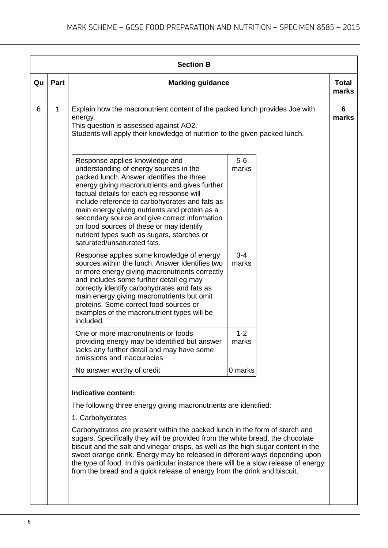|    |      | <b>Section B</b>                                                                                                                                                                                                                                                                                                                                                                                                                                                                                                                                                                                                     |                  |                       |
|----|------|----------------------------------------------------------------------------------------------------------------------------------------------------------------------------------------------------------------------------------------------------------------------------------------------------------------------------------------------------------------------------------------------------------------------------------------------------------------------------------------------------------------------------------------------------------------------------------------------------------------------|------------------|-----------------------|
| Qu | Part | <b>Marking guidance</b>                                                                                                                                                                                                                                                                                                                                                                                                                                                                                                                                                                                              |                  | <b>Total</b><br>marks |
| 6  | 1    | Explain how the macronutrient content of the packed lunch provides Joe with<br>energy.<br>This question is assessed against AO2.<br>Students will apply their knowledge of nutrition to the given packed lunch.                                                                                                                                                                                                                                                                                                                                                                                                      |                  | 6<br>marks            |
|    |      | Response applies knowledge and<br>understanding of energy sources in the<br>packed lunch. Answer identifies the three<br>energy giving macronutrients and gives further<br>factual details for each eg response will<br>include reference to carbohydrates and fats as<br>main energy giving nutrients and protein as a<br>secondary source and give correct information<br>on food sources of these or may identify<br>nutrient types such as sugars, starches or<br>saturated/unsaturated fats.                                                                                                                    | $5-6$<br>marks   |                       |
|    |      | Response applies some knowledge of energy<br>sources within the lunch. Answer identifies two<br>or more energy giving macronutrients correctly<br>and includes some further detail eg may<br>correctly identify carbohydrates and fats as<br>main energy giving macronutrients but omit<br>proteins. Some correct food sources or<br>examples of the macronutrient types will be<br>included.                                                                                                                                                                                                                        | $3 - 4$<br>marks |                       |
|    |      | One or more macronutrients or foods<br>providing energy may be identified but answer<br>lacks any further detail and may have some<br>omissions and inaccuracies                                                                                                                                                                                                                                                                                                                                                                                                                                                     | $1 - 2$<br>marks |                       |
|    |      | No answer worthy of credit                                                                                                                                                                                                                                                                                                                                                                                                                                                                                                                                                                                           | 0 marks          |                       |
|    |      | Indicative content:<br>The following three energy giving macronutrients are identified:<br>1. Carbohydrates<br>Carbohydrates are present within the packed lunch in the form of starch and<br>sugars. Specifically they will be provided from the white bread, the chocolate<br>biscuit and the salt and vinegar crisps, as well as the high sugar content in the<br>sweet orange drink. Energy may be released in different ways depending upon<br>the type of food. In this particular instance there will be a slow release of energy<br>from the bread and a quick release of energy from the drink and biscuit. |                  |                       |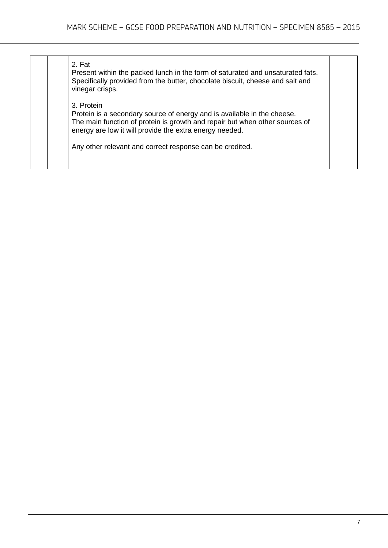| 2. Fat<br>Present within the packed lunch in the form of saturated and unsaturated fats.<br>Specifically provided from the butter, chocolate biscuit, cheese and salt and<br>vinegar crisps.                                    |  |
|---------------------------------------------------------------------------------------------------------------------------------------------------------------------------------------------------------------------------------|--|
| 3. Protein<br>Protein is a secondary source of energy and is available in the cheese.<br>The main function of protein is growth and repair but when other sources of<br>energy are low it will provide the extra energy needed. |  |
| Any other relevant and correct response can be credited.                                                                                                                                                                        |  |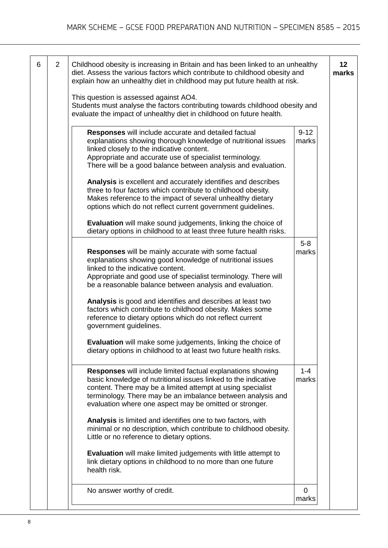| 6 | 2 | Childhood obesity is increasing in Britain and has been linked to an unhealthy<br>diet. Assess the various factors which contribute to childhood obesity and<br>explain how an unhealthy diet in childhood may put future health at risk.                                                                                                                                                                                                                                                                                                                                                                                                                                                                                                                                                                                                                                                                                             |                                     | 12<br>marks |
|---|---|---------------------------------------------------------------------------------------------------------------------------------------------------------------------------------------------------------------------------------------------------------------------------------------------------------------------------------------------------------------------------------------------------------------------------------------------------------------------------------------------------------------------------------------------------------------------------------------------------------------------------------------------------------------------------------------------------------------------------------------------------------------------------------------------------------------------------------------------------------------------------------------------------------------------------------------|-------------------------------------|-------------|
|   |   | This question is assessed against AO4.<br>Students must analyse the factors contributing towards childhood obesity and<br>evaluate the impact of unhealthy diet in childhood on future health.                                                                                                                                                                                                                                                                                                                                                                                                                                                                                                                                                                                                                                                                                                                                        |                                     |             |
|   |   | Responses will include accurate and detailed factual<br>explanations showing thorough knowledge of nutritional issues<br>linked closely to the indicative content.<br>Appropriate and accurate use of specialist terminology.<br>There will be a good balance between analysis and evaluation.<br>Analysis is excellent and accurately identifies and describes<br>three to four factors which contribute to childhood obesity.<br>Makes reference to the impact of several unhealthy dietary<br>options which do not reflect current government guidelines.<br>Evaluation will make sound judgements, linking the choice of<br>dietary options in childhood to at least three future health risks.<br><b>Responses</b> will be mainly accurate with some factual<br>explanations showing good knowledge of nutritional issues<br>linked to the indicative content.<br>Appropriate and good use of specialist terminology. There will | $9 - 12$<br>marks<br>$5-8$<br>marks |             |
|   |   | be a reasonable balance between analysis and evaluation.<br>Analysis is good and identifies and describes at least two<br>factors which contribute to childhood obesity. Makes some<br>reference to dietary options which do not reflect current<br>government guidelines.<br><b>Evaluation</b> will make some judgements, linking the choice of<br>dietary options in childhood to at least two future health risks.                                                                                                                                                                                                                                                                                                                                                                                                                                                                                                                 |                                     |             |
|   |   | <b>Responses</b> will include limited factual explanations showing<br>basic knowledge of nutritional issues linked to the indicative<br>content. There may be a limited attempt at using specialist<br>terminology. There may be an imbalance between analysis and<br>evaluation where one aspect may be omitted or stronger.<br>Analysis is limited and identifies one to two factors, with<br>minimal or no description, which contribute to childhood obesity.<br>Little or no reference to dietary options.<br>Evaluation will make limited judgements with little attempt to<br>link dietary options in childhood to no more than one future<br>health risk.                                                                                                                                                                                                                                                                     | $1 - 4$<br>marks                    |             |
|   |   | No answer worthy of credit.                                                                                                                                                                                                                                                                                                                                                                                                                                                                                                                                                                                                                                                                                                                                                                                                                                                                                                           | $\Omega$<br>marks                   |             |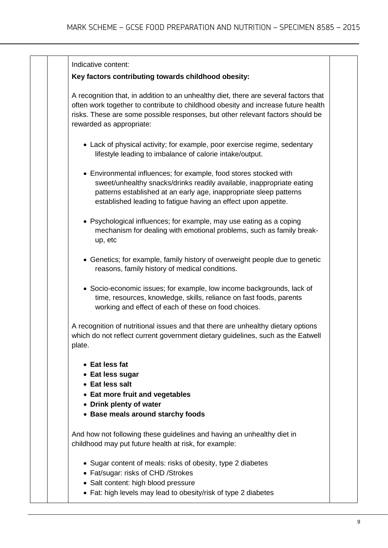#### Indicative content:

# **Key factors contributing towards childhood obesity:**

A recognition that, in addition to an unhealthy diet, there are several factors that often work together to contribute to childhood obesity and increase future health risks. These are some possible responses, but other relevant factors should be rewarded as appropriate:

- Lack of physical activity; for example, poor exercise regime, sedentary lifestyle leading to imbalance of calorie intake/output.
- Environmental influences; for example, food stores stocked with sweet/unhealthy snacks/drinks readily available, inappropriate eating patterns established at an early age, inappropriate sleep patterns established leading to fatigue having an effect upon appetite.
- Psychological influences; for example, may use eating as a coping mechanism for dealing with emotional problems, such as family breakup, etc
- Genetics; for example, family history of overweight people due to genetic reasons, family history of medical conditions.
- Socio-economic issues; for example, low income backgrounds, lack of time, resources, knowledge, skills, reliance on fast foods, parents working and effect of each of these on food choices.

A recognition of nutritional issues and that there are unhealthy dietary options which do not reflect current government dietary guidelines, such as the Eatwell plate.

- **Eat less fat**
- **Eat less sugar**
- **Eat less salt**
- **Eat more fruit and vegetables**
- **Drink plenty of water**
- **Base meals around starchy foods**

And how not following these guidelines and having an unhealthy diet in childhood may put future health at risk, for example:

- Sugar content of meals: risks of obesity, type 2 diabetes
- Fat/sugar: risks of CHD /Strokes
- Salt content: high blood pressure
- Fat: high levels may lead to obesity/risk of type 2 diabetes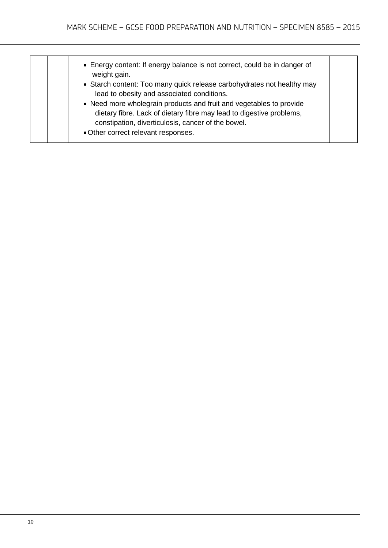| • Energy content: If energy balance is not correct, could be in danger of<br>weight gain.<br>• Starch content: Too many quick release carbohydrates not healthy may<br>lead to obesity and associated conditions.                        |
|------------------------------------------------------------------------------------------------------------------------------------------------------------------------------------------------------------------------------------------|
| • Need more wholegrain products and fruit and vegetables to provide<br>dietary fibre. Lack of dietary fibre may lead to digestive problems,<br>constipation, diverticulosis, cancer of the bowel.<br>• Other correct relevant responses. |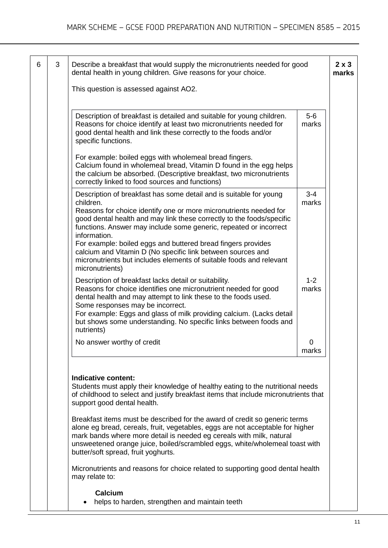| 3 | Describe a breakfast that would supply the micronutrients needed for good<br>dental health in young children. Give reasons for your choice.                                                                                                                                                                                                                                                                                                                                                                                                 |                  |
|---|---------------------------------------------------------------------------------------------------------------------------------------------------------------------------------------------------------------------------------------------------------------------------------------------------------------------------------------------------------------------------------------------------------------------------------------------------------------------------------------------------------------------------------------------|------------------|
|   | This question is assessed against AO2.                                                                                                                                                                                                                                                                                                                                                                                                                                                                                                      |                  |
|   | Description of breakfast is detailed and suitable for young children.<br>Reasons for choice identify at least two micronutrients needed for<br>good dental health and link these correctly to the foods and/or<br>specific functions.                                                                                                                                                                                                                                                                                                       | $5-6$<br>marks   |
|   | For example: boiled eggs with wholemeal bread fingers.<br>Calcium found in wholemeal bread, Vitamin D found in the egg helps<br>the calcium be absorbed. (Descriptive breakfast, two micronutrients<br>correctly linked to food sources and functions)                                                                                                                                                                                                                                                                                      |                  |
|   | Description of breakfast has some detail and is suitable for young<br>children.<br>Reasons for choice identify one or more micronutrients needed for<br>good dental health and may link these correctly to the foods/specific<br>functions. Answer may include some generic, repeated or incorrect<br>information.<br>For example: boiled eggs and buttered bread fingers provides<br>calcium and Vitamin D (No specific link between sources and<br>micronutrients but includes elements of suitable foods and relevant<br>micronutrients) | $3 - 4$<br>marks |
|   | Description of breakfast lacks detail or suitability.<br>Reasons for choice identifies one micronutrient needed for good<br>dental health and may attempt to link these to the foods used.<br>Some responses may be incorrect.<br>For example: Eggs and glass of milk providing calcium. (Lacks detail<br>but shows some understanding. No specific links between foods and<br>nutrients)                                                                                                                                                   | $1 - 2$<br>marks |
|   | No answer worthy of credit                                                                                                                                                                                                                                                                                                                                                                                                                                                                                                                  | 0                |

• helps to harden, strengthen and maintain teeth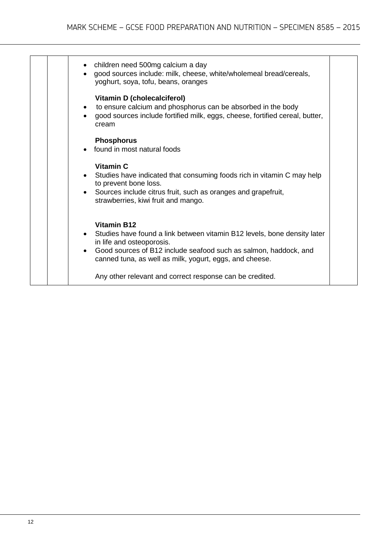| children need 500mg calcium a day<br>good sources include: milk, cheese, white/wholemeal bread/cereals,<br>yoghurt, soya, tofu, beans, oranges                                                                                                             |  |
|------------------------------------------------------------------------------------------------------------------------------------------------------------------------------------------------------------------------------------------------------------|--|
| <b>Vitamin D (cholecalciferol)</b><br>to ensure calcium and phosphorus can be absorbed in the body<br>good sources include fortified milk, eggs, cheese, fortified cereal, butter,<br>cream                                                                |  |
| <b>Phosphorus</b><br>• found in most natural foods                                                                                                                                                                                                         |  |
| Vitamin C<br>• Studies have indicated that consuming foods rich in vitamin C may help<br>to prevent bone loss.<br>Sources include citrus fruit, such as oranges and grapefruit,<br>strawberries, kiwi fruit and mango.                                     |  |
| <b>Vitamin B12</b><br>Studies have found a link between vitamin B12 levels, bone density later<br>in life and osteoporosis.<br>Good sources of B12 include seafood such as salmon, haddock, and<br>canned tuna, as well as milk, yogurt, eggs, and cheese. |  |
| Any other relevant and correct response can be credited.                                                                                                                                                                                                   |  |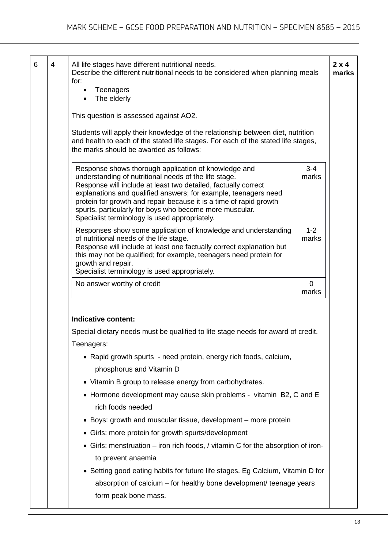| All life stages have different nutritional needs.<br>Describe the different nutritional needs to be considered when planning meals<br>for:<br>Teenagers<br>$\bullet$<br>The elderly                                                                                                                                                                                                                                                  |                      |
|--------------------------------------------------------------------------------------------------------------------------------------------------------------------------------------------------------------------------------------------------------------------------------------------------------------------------------------------------------------------------------------------------------------------------------------|----------------------|
| This question is assessed against AO2.                                                                                                                                                                                                                                                                                                                                                                                               |                      |
| Students will apply their knowledge of the relationship between diet, nutrition<br>and health to each of the stated life stages. For each of the stated life stages,<br>the marks should be awarded as follows:                                                                                                                                                                                                                      |                      |
| Response shows thorough application of knowledge and<br>understanding of nutritional needs of the life stage.<br>Response will include at least two detailed, factually correct<br>explanations and qualified answers; for example, teenagers need<br>protein for growth and repair because it is a time of rapid growth<br>spurts, particularly for boys who become more muscular.<br>Specialist terminology is used appropriately. | $3 - 4$<br>marks     |
| Responses show some application of knowledge and understanding<br>of nutritional needs of the life stage.<br>Response will include at least one factually correct explanation but<br>this may not be qualified; for example, teenagers need protein for<br>growth and repair.<br>Specialist terminology is used appropriately.                                                                                                       | $1 - 2$<br>marks     |
| No answer worthy of credit                                                                                                                                                                                                                                                                                                                                                                                                           | $\mathbf 0$<br>marks |
|                                                                                                                                                                                                                                                                                                                                                                                                                                      |                      |
| Indicative content:                                                                                                                                                                                                                                                                                                                                                                                                                  |                      |
|                                                                                                                                                                                                                                                                                                                                                                                                                                      |                      |
| Special dietary needs must be qualified to life stage needs for award of credit.                                                                                                                                                                                                                                                                                                                                                     |                      |
| Teenagers:                                                                                                                                                                                                                                                                                                                                                                                                                           |                      |
| • Rapid growth spurts - need protein, energy rich foods, calcium,<br>phosphorus and Vitamin D                                                                                                                                                                                                                                                                                                                                        |                      |
| • Vitamin B group to release energy from carbohydrates.                                                                                                                                                                                                                                                                                                                                                                              |                      |
| • Hormone development may cause skin problems - vitamin B2, C and E<br>rich foods needed                                                                                                                                                                                                                                                                                                                                             |                      |
| • Boys: growth and muscular tissue, development – more protein                                                                                                                                                                                                                                                                                                                                                                       |                      |
|                                                                                                                                                                                                                                                                                                                                                                                                                                      |                      |
| • Girls: more protein for growth spurts/development<br>• Girls: menstruation – iron rich foods, / vitamin C for the absorption of iron-                                                                                                                                                                                                                                                                                              |                      |
| to prevent anaemia<br>• Setting good eating habits for future life stages. Eg Calcium, Vitamin D for<br>absorption of calcium - for healthy bone development/ teenage years                                                                                                                                                                                                                                                          |                      |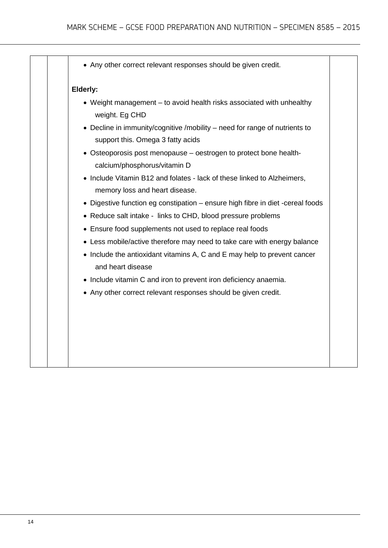| • Any other correct relevant responses should be given credit.                                                  |
|-----------------------------------------------------------------------------------------------------------------|
| Elderly:                                                                                                        |
| • Weight management – to avoid health risks associated with unhealthy<br>weight. Eg CHD                         |
| • Decline in immunity/cognitive /mobility - need for range of nutrients to<br>support this. Omega 3 fatty acids |
| • Osteoporosis post menopause - oestrogen to protect bone health-<br>calcium/phosphorus/vitamin D               |
| • Include Vitamin B12 and folates - lack of these linked to Alzheimers,<br>memory loss and heart disease.       |
| • Digestive function eg constipation – ensure high fibre in diet -cereal foods                                  |
| • Reduce salt intake - links to CHD, blood pressure problems                                                    |
| • Ensure food supplements not used to replace real foods                                                        |
| • Less mobile/active therefore may need to take care with energy balance                                        |
| • Include the antioxidant vitamins A, C and E may help to prevent cancer<br>and heart disease                   |
| • Include vitamin C and iron to prevent iron deficiency anaemia.                                                |
| • Any other correct relevant responses should be given credit.                                                  |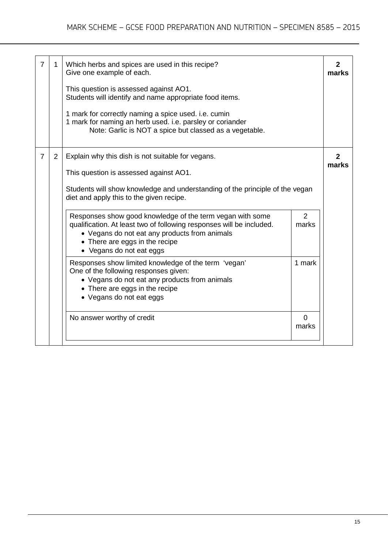| 7              |   | Which herbs and spices are used in this recipe?<br>Give one example of each.                                                                                                                                                                     |                         | 2<br>marks |  |
|----------------|---|--------------------------------------------------------------------------------------------------------------------------------------------------------------------------------------------------------------------------------------------------|-------------------------|------------|--|
|                |   | This question is assessed against AO1.<br>Students will identify and name appropriate food items.                                                                                                                                                |                         |            |  |
|                |   | 1 mark for correctly naming a spice used. i.e. cumin<br>1 mark for naming an herb used. i.e. parsley or coriander<br>Note: Garlic is NOT a spice but classed as a vegetable.                                                                     |                         |            |  |
| $\overline{7}$ | 2 | Explain why this dish is not suitable for vegans.                                                                                                                                                                                                |                         | marks      |  |
|                |   | This question is assessed against AO1.                                                                                                                                                                                                           |                         |            |  |
|                |   | Students will show knowledge and understanding of the principle of the vegan<br>diet and apply this to the given recipe.                                                                                                                         |                         |            |  |
|                |   | Responses show good knowledge of the term vegan with some<br>qualification. At least two of following responses will be included.<br>• Vegans do not eat any products from animals<br>• There are eggs in the recipe<br>• Vegans do not eat eggs | $\overline{2}$<br>marks |            |  |
|                |   | Responses show limited knowledge of the term 'vegan'<br>One of the following responses given:<br>• Vegans do not eat any products from animals<br>• There are eggs in the recipe<br>• Vegans do not eat eggs                                     | 1 mark                  |            |  |
|                |   | No answer worthy of credit                                                                                                                                                                                                                       | $\Omega$<br>marks       |            |  |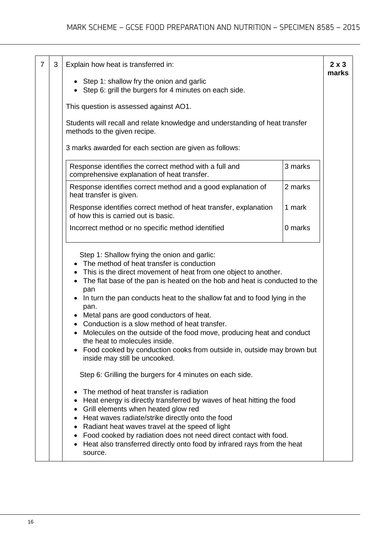|  | $\overline{7}$ | 3 | Explain how heat is transferred in:<br>$2 \times 3$<br>marks                                                                                                                                                                                                                                                                                                                                                                                                                                                                                                                                                                                            |
|--|----------------|---|---------------------------------------------------------------------------------------------------------------------------------------------------------------------------------------------------------------------------------------------------------------------------------------------------------------------------------------------------------------------------------------------------------------------------------------------------------------------------------------------------------------------------------------------------------------------------------------------------------------------------------------------------------|
|  |                |   | Step 1: shallow fry the onion and garlic<br>Step 6: grill the burgers for 4 minutes on each side.                                                                                                                                                                                                                                                                                                                                                                                                                                                                                                                                                       |
|  |                |   | This question is assessed against AO1.                                                                                                                                                                                                                                                                                                                                                                                                                                                                                                                                                                                                                  |
|  |                |   | Students will recall and relate knowledge and understanding of heat transfer<br>methods to the given recipe.                                                                                                                                                                                                                                                                                                                                                                                                                                                                                                                                            |
|  |                |   | 3 marks awarded for each section are given as follows:                                                                                                                                                                                                                                                                                                                                                                                                                                                                                                                                                                                                  |
|  |                |   | Response identifies the correct method with a full and<br>3 marks<br>comprehensive explanation of heat transfer.                                                                                                                                                                                                                                                                                                                                                                                                                                                                                                                                        |
|  |                |   | Response identifies correct method and a good explanation of<br>2 marks<br>heat transfer is given.                                                                                                                                                                                                                                                                                                                                                                                                                                                                                                                                                      |
|  |                |   | Response identifies correct method of heat transfer, explanation<br>1 mark<br>of how this is carried out is basic.                                                                                                                                                                                                                                                                                                                                                                                                                                                                                                                                      |
|  |                |   | Incorrect method or no specific method identified<br>0 marks                                                                                                                                                                                                                                                                                                                                                                                                                                                                                                                                                                                            |
|  |                |   | Step 1: Shallow frying the onion and garlic:<br>The method of heat transfer is conduction<br>This is the direct movement of heat from one object to another.<br>The flat base of the pan is heated on the hob and heat is conducted to the<br>pan<br>In turn the pan conducts heat to the shallow fat and to food lying in the<br>pan.<br>Metal pans are good conductors of heat.<br>Conduction is a slow method of heat transfer.<br>Molecules on the outside of the food move, producing heat and conduct<br>the heat to molecules inside.<br>Food cooked by conduction cooks from outside in, outside may brown but<br>inside may still be uncooked. |
|  |                |   | Step 6: Grilling the burgers for 4 minutes on each side.<br>The method of heat transfer is radiation<br>Heat energy is directly transferred by waves of heat hitting the food<br>Grill elements when heated glow red<br>Heat waves radiate/strike directly onto the food<br>Radiant heat waves travel at the speed of light<br>Food cooked by radiation does not need direct contact with food.<br>Heat also transferred directly onto food by infrared rays from the heat<br>source.                                                                                                                                                                   |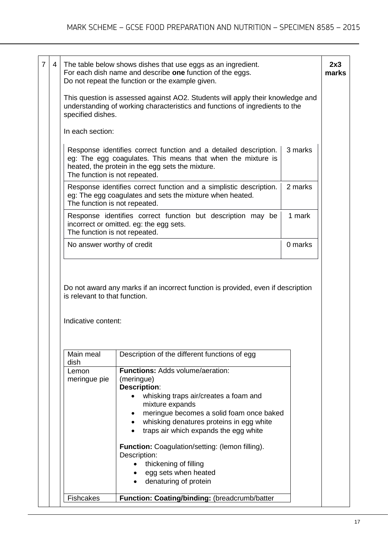|                                                                                                                                                                                                                                 | The table below shows dishes that use eggs as an ingredient.<br>For each dish name and describe one function of the eggs.<br>Do not repeat the function or the example given.                                                                                                                            |  |  |  |  |
|---------------------------------------------------------------------------------------------------------------------------------------------------------------------------------------------------------------------------------|----------------------------------------------------------------------------------------------------------------------------------------------------------------------------------------------------------------------------------------------------------------------------------------------------------|--|--|--|--|
| specified dishes.                                                                                                                                                                                                               | This question is assessed against AO2. Students will apply their knowledge and<br>understanding of working characteristics and functions of ingredients to the                                                                                                                                           |  |  |  |  |
| In each section:                                                                                                                                                                                                                |                                                                                                                                                                                                                                                                                                          |  |  |  |  |
| 3 marks<br>Response identifies correct function and a detailed description.<br>eg: The egg coagulates. This means that when the mixture is<br>heated, the protein in the egg sets the mixture.<br>The function is not repeated. |                                                                                                                                                                                                                                                                                                          |  |  |  |  |
| 2 marks<br>Response identifies correct function and a simplistic description.<br>eg: The egg coagulates and sets the mixture when heated.<br>The function is not repeated.                                                      |                                                                                                                                                                                                                                                                                                          |  |  |  |  |
| 1 mark<br>Response identifies correct function but description may be<br>incorrect or omitted. eg: the egg sets.<br>The function is not repeated.                                                                               |                                                                                                                                                                                                                                                                                                          |  |  |  |  |
| 0 marks<br>No answer worthy of credit                                                                                                                                                                                           |                                                                                                                                                                                                                                                                                                          |  |  |  |  |
| is relevant to that function.                                                                                                                                                                                                   | Do not award any marks if an incorrect function is provided, even if description                                                                                                                                                                                                                         |  |  |  |  |
| Indicative content:                                                                                                                                                                                                             |                                                                                                                                                                                                                                                                                                          |  |  |  |  |
| Main meal<br>dish                                                                                                                                                                                                               | Description of the different functions of egg                                                                                                                                                                                                                                                            |  |  |  |  |
| Lemon<br>meringue pie                                                                                                                                                                                                           | <b>Functions: Adds volume/aeration:</b><br>(meringue)<br><b>Description:</b><br>whisking traps air/creates a foam and<br>mixture expands<br>meringue becomes a solid foam once baked<br>٠<br>whisking denatures proteins in egg white<br>$\bullet$<br>traps air which expands the egg white<br>$\bullet$ |  |  |  |  |
|                                                                                                                                                                                                                                 | Function: Coagulation/setting: (lemon filling).<br>Description:<br>thickening of filling<br>egg sets when heated<br>denaturing of protein                                                                                                                                                                |  |  |  |  |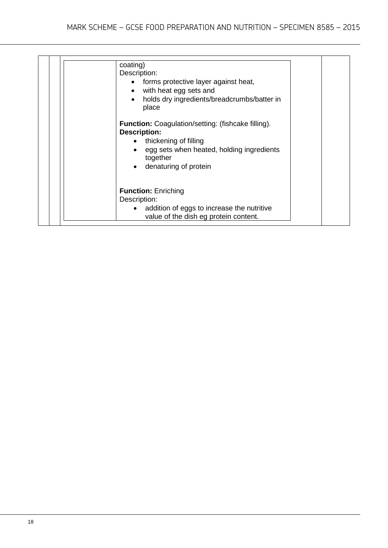| coating)<br>Description:<br>forms protective layer against heat,<br>with heat egg sets and<br>$\bullet$<br>holds dry ingredients/breadcrumbs/batter in<br>$\bullet$<br>place<br><b>Function:</b> Coagulation/setting: (fishcake filling).<br><b>Description:</b><br>thickening of filling<br>egg sets when heated, holding ingredients<br>together<br>denaturing of protein<br>$\bullet$ |
|------------------------------------------------------------------------------------------------------------------------------------------------------------------------------------------------------------------------------------------------------------------------------------------------------------------------------------------------------------------------------------------|
| <b>Function: Enriching</b><br>Description:<br>addition of eggs to increase the nutritive<br>value of the dish eg protein content.                                                                                                                                                                                                                                                        |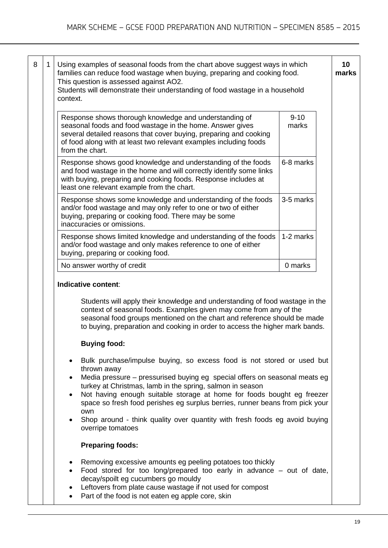| 1 | Using examples of seasonal foods from the chart above suggest ways in which<br>families can reduce food wastage when buying, preparing and cooking food.<br>This question is assessed against AO2.<br>Students will demonstrate their understanding of food wastage in a household<br>context.                                        |                   |  |  |  |
|---|---------------------------------------------------------------------------------------------------------------------------------------------------------------------------------------------------------------------------------------------------------------------------------------------------------------------------------------|-------------------|--|--|--|
|   | Response shows thorough knowledge and understanding of<br>seasonal foods and food wastage in the home. Answer gives<br>several detailed reasons that cover buying, preparing and cooking<br>of food along with at least two relevant examples including foods<br>from the chart.                                                      | $9 - 10$<br>marks |  |  |  |
|   | Response shows good knowledge and understanding of the foods<br>and food wastage in the home and will correctly identify some links<br>with buying, preparing and cooking foods. Response includes at<br>least one relevant example from the chart.                                                                                   | 6-8 marks         |  |  |  |
|   | Response shows some knowledge and understanding of the foods<br>and/or food wastage and may only refer to one or two of either<br>buying, preparing or cooking food. There may be some<br>inaccuracies or omissions.                                                                                                                  | 3-5 marks         |  |  |  |
|   | Response shows limited knowledge and understanding of the foods<br>and/or food wastage and only makes reference to one of either<br>buying, preparing or cooking food.                                                                                                                                                                | 1-2 marks         |  |  |  |
|   | No answer worthy of credit                                                                                                                                                                                                                                                                                                            | 0 marks           |  |  |  |
|   | Indicative content:<br>Students will apply their knowledge and understanding of food wastage in the<br>context of seasonal foods. Examples given may come from any of the<br>seasonal food groups mentioned on the chart and reference should be made<br>to buying, preparation and cooking in order to access the higher mark bands. |                   |  |  |  |
|   | <b>Buying food:</b>                                                                                                                                                                                                                                                                                                                   |                   |  |  |  |

- Bulk purchase/impulse buying, so excess food is not stored or used but thrown away
- Media pressure pressurised buying eg special offers on seasonal meats eg turkey at Christmas, lamb in the spring, salmon in season
- Not having enough suitable storage at home for foods bought eg freezer space so fresh food perishes eg surplus berries, runner beans from pick your own
- Shop around think quality over quantity with fresh foods eg avoid buying overripe tomatoes

# **Preparing foods:**

- Removing excessive amounts eg peeling potatoes too thickly
- Food stored for too long/prepared too early in advance out of date, decay/spoilt eg cucumbers go mouldy
- Leftovers from plate cause wastage if not used for compost
- Part of the food is not eaten eg apple core, skin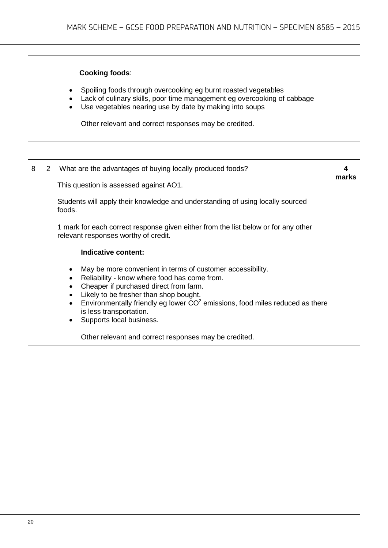## **Cooking foods**:

- Spoiling foods through overcooking eg burnt roasted vegetables
- Lack of culinary skills, poor time management eg overcooking of cabbage
- Use vegetables nearing use by date by making into soups

Other relevant and correct responses may be credited.

| 8 | $\overline{2}$ | What are the advantages of buying locally produced foods?                                                                                                                                                                                                                                                                                                         | marks |  |  |
|---|----------------|-------------------------------------------------------------------------------------------------------------------------------------------------------------------------------------------------------------------------------------------------------------------------------------------------------------------------------------------------------------------|-------|--|--|
|   |                | This question is assessed against AO1.                                                                                                                                                                                                                                                                                                                            |       |  |  |
|   |                | Students will apply their knowledge and understanding of using locally sourced<br>foods.                                                                                                                                                                                                                                                                          |       |  |  |
|   |                | 1 mark for each correct response given either from the list below or for any other<br>relevant responses worthy of credit.                                                                                                                                                                                                                                        |       |  |  |
|   |                | Indicative content:                                                                                                                                                                                                                                                                                                                                               |       |  |  |
|   |                | May be more convenient in terms of customer accessibility.<br>Reliability - know where food has come from.<br>Cheaper if purchased direct from farm.<br>Likely to be fresher than shop bought.<br>$\bullet$<br>Environmentally friendly eg lower $CO2$ emissions, food miles reduced as there<br>$\bullet$<br>is less transportation.<br>Supports local business. |       |  |  |
|   |                | Other relevant and correct responses may be credited.                                                                                                                                                                                                                                                                                                             |       |  |  |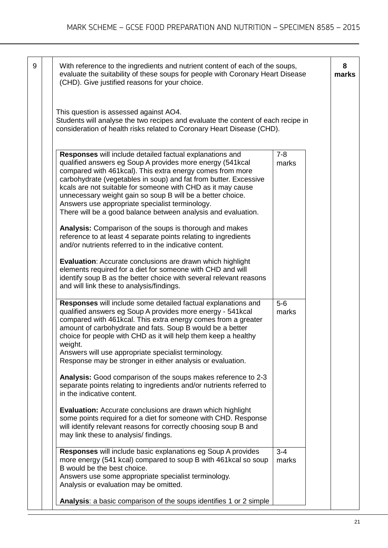9 **With reference to the ingredients and nutrient content of each of the soups,** evaluate the suitability of these soups for people with Coronary Heart Disease (CHD). Give justified reasons for your choice. This question is assessed against AO4. Students will analyse the two recipes and evaluate the content of each recipe in consideration of health risks related to Coronary Heart Disease (CHD). **Responses** will include detailed factual explanations and qualified answers eg Soup A provides more energy (541kcal compared with 461kcal). This extra energy comes from more carbohydrate (vegetables in soup) and fat from butter. Excessive kcals are not suitable for someone with CHD as it may cause unnecessary weight gain so soup B will be a better choice. Answers use appropriate specialist terminology. There will be a good balance between analysis and evaluation. **Analysis:** Comparison of the soups is thorough and makes reference to at least 4 separate points relating to ingredients and/or nutrients referred to in the indicative content. **Evaluation**: Accurate conclusions are drawn which highlight elements required for a diet for someone with CHD and will identify soup B as the better choice with several relevant reasons and will link these to analysis/findings.  $7 - 8$ marks **Responses** will include some detailed factual explanations and qualified answers eg Soup A provides more energy - 541kcal compared with 461kcal. This extra energy comes from a greater amount of carbohydrate and fats. Soup B would be a better choice for people with CHD as it will help them keep a healthy weight. Answers will use appropriate specialist terminology. Response may be stronger in either analysis or evaluation. **Analysis:** Good comparison of the soups makes reference to 2-3 separate points relating to ingredients and/or nutrients referred to in the indicative content. **Evaluation:** Accurate conclusions are drawn which highlight some points required for a diet for someone with CHD. Response will identify relevant reasons for correctly choosing soup B and may link these to analysis/ findings. 5-6 marks **Responses** will include basic explanations eg Soup A provides more energy (541 kcal) compared to soup B with 461kcal so soup B would be the best choice. Answers use some appropriate specialist terminology. Analysis or evaluation may be omitted. **Analysis**: a basic comparison of the soups identifies 1 or 2 simple  $\overline{3-4}$ marks **8 marks**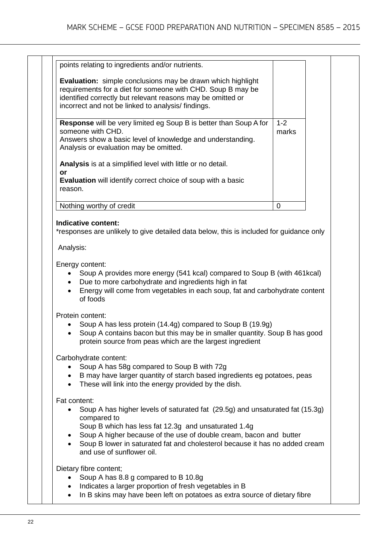|               | points relating to ingredients and/or nutrients.                                                                                                                                                                                                      |                  |  |
|---------------|-------------------------------------------------------------------------------------------------------------------------------------------------------------------------------------------------------------------------------------------------------|------------------|--|
|               | <b>Evaluation:</b> simple conclusions may be drawn which highlight<br>requirements for a diet for someone with CHD. Soup B may be<br>identified correctly but relevant reasons may be omitted or<br>incorrect and not be linked to analysis/findings. |                  |  |
|               |                                                                                                                                                                                                                                                       |                  |  |
|               | Response will be very limited eg Soup B is better than Soup A for<br>someone with CHD.<br>Answers show a basic level of knowledge and understanding.<br>Analysis or evaluation may be omitted.                                                        | $1 - 2$<br>marks |  |
|               | Analysis is at a simplified level with little or no detail.                                                                                                                                                                                           |                  |  |
| or<br>reason. | Evaluation will identify correct choice of soup with a basic                                                                                                                                                                                          |                  |  |
|               | Nothing worthy of credit                                                                                                                                                                                                                              | 0                |  |
|               | Soup A provides more energy (541 kcal) compared to Soup B (with 461 kcal)<br>Due to more carbohydrate and ingredients high in fat<br>Energy will come from vegetables in each soup, fat and carbohydrate content<br>of foods                          |                  |  |
|               |                                                                                                                                                                                                                                                       |                  |  |
|               | Protein content:<br>Soup A has less protein (14.4g) compared to Soup B (19.9g)<br>Soup A contains bacon but this may be in smaller quantity. Soup B has good<br>protein source from peas which are the largest ingredient                             |                  |  |
|               | Carbohydrate content:<br>Soup A has 58g compared to Soup B with 72g<br>B may have larger quantity of starch based ingredients eg potatoes, peas<br>These will link into the energy provided by the dish.                                              |                  |  |
| Fat content:  | Soup A has higher levels of saturated fat (29.5g) and unsaturated fat (15.3g)<br>compared to                                                                                                                                                          |                  |  |
|               | Soup B which has less fat 12.3g and unsaturated 1.4g<br>Soup A higher because of the use of double cream, bacon and butter<br>Soup B lower in saturated fat and cholesterol because it has no added cream<br>and use of sunflower oil.                |                  |  |
|               | Dietary fibre content;<br>Soup A has 8.8 g compared to B 10.8g<br>Indicates a larger proportion of fresh vegetables in B                                                                                                                              |                  |  |

• In B skins may have been left on potatoes as extra source of dietary fibre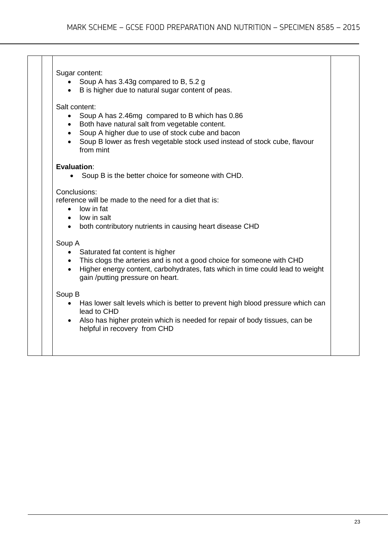#### Sugar content:

- Soup A has 3.43g compared to B, 5.2 g
- B is higher due to natural sugar content of peas.

# Salt content:

- Soup A has 2.46mg compared to B which has 0.86
- Both have natural salt from vegetable content.
- Soup A higher due to use of stock cube and bacon
- Soup B lower as fresh vegetable stock used instead of stock cube, flavour from mint

#### **Evaluation**:

• Soup B is the better choice for someone with CHD.

#### Conclusions:

reference will be made to the need for a diet that is:

- low in fat
- low in salt
- both contributory nutrients in causing heart disease CHD

#### Soup A

- Saturated fat content is higher
- This clogs the arteries and is not a good choice for someone with CHD
- Higher energy content, carbohydrates, fats which in time could lead to weight gain /putting pressure on heart.

#### Soup B

- Has lower salt levels which is better to prevent high blood pressure which can lead to CHD
- Also has higher protein which is needed for repair of body tissues, can be helpful in recovery from CHD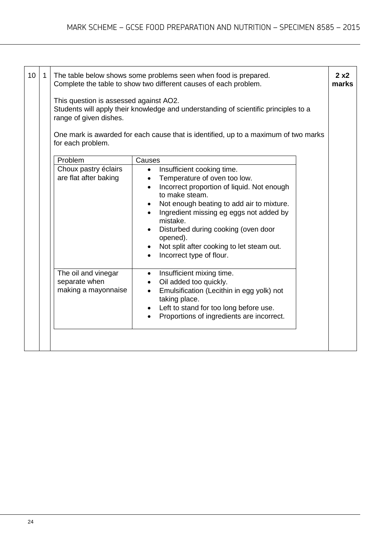| 10 | $\mathbf{1}$ | This question is assessed against AO2.<br>range of given dishes.<br>for each problem. | The table below shows some problems seen when food is prepared.<br>Complete the table to show two different causes of each problem.<br>Students will apply their knowledge and understanding of scientific principles to a<br>One mark is awarded for each cause that is identified, up to a maximum of two marks                                                                                 | 2x2<br>marks |
|----|--------------|---------------------------------------------------------------------------------------|---------------------------------------------------------------------------------------------------------------------------------------------------------------------------------------------------------------------------------------------------------------------------------------------------------------------------------------------------------------------------------------------------|--------------|
|    |              | Problem                                                                               | Causes                                                                                                                                                                                                                                                                                                                                                                                            |              |
|    |              | Choux pastry éclairs<br>are flat after baking                                         | Insufficient cooking time.<br>$\bullet$<br>Temperature of oven too low.<br>$\bullet$<br>Incorrect proportion of liquid. Not enough<br>$\bullet$<br>to make steam.<br>Not enough beating to add air to mixture.<br>Ingredient missing eg eggs not added by<br>mistake.<br>Disturbed during cooking (oven door<br>opened).<br>Not split after cooking to let steam out.<br>Incorrect type of flour. |              |
|    |              | The oil and vinegar<br>separate when<br>making a mayonnaise                           | Insufficient mixing time.<br>$\bullet$<br>Oil added too quickly.<br>Emulsification (Lecithin in egg yolk) not<br>taking place.<br>Left to stand for too long before use.<br>Proportions of ingredients are incorrect.                                                                                                                                                                             |              |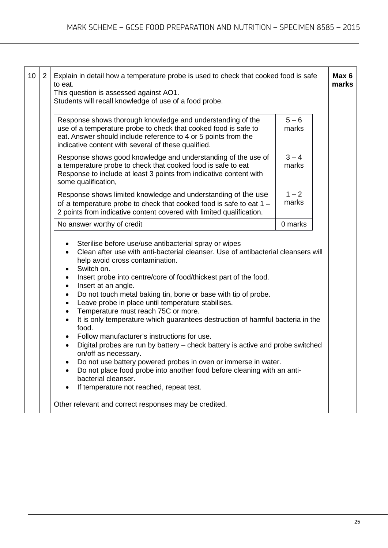| 10 | $2^{\circ}$ | Explain in detail how a temperature probe is used to check that cooked food is safe<br>to eat.<br>This question is assessed against AO1.<br>Students will recall knowledge of use of a food probe.                                                                                                                                                                                                                                                                                                                                                                                        |                                                                                                                                                                                                                                                                                                                                                                                                    |  |  |  |
|----|-------------|-------------------------------------------------------------------------------------------------------------------------------------------------------------------------------------------------------------------------------------------------------------------------------------------------------------------------------------------------------------------------------------------------------------------------------------------------------------------------------------------------------------------------------------------------------------------------------------------|----------------------------------------------------------------------------------------------------------------------------------------------------------------------------------------------------------------------------------------------------------------------------------------------------------------------------------------------------------------------------------------------------|--|--|--|
|    |             | Response shows thorough knowledge and understanding of the<br>use of a temperature probe to check that cooked food is safe to<br>eat. Answer should include reference to 4 or 5 points from the<br>indicative content with several of these qualified.                                                                                                                                                                                                                                                                                                                                    | $5 - 6$<br>marks                                                                                                                                                                                                                                                                                                                                                                                   |  |  |  |
|    |             | Response shows good knowledge and understanding of the use of<br>a temperature probe to check that cooked food is safe to eat<br>Response to include at least 3 points from indicative content with<br>some qualification,                                                                                                                                                                                                                                                                                                                                                                | $3 - 4$<br>marks                                                                                                                                                                                                                                                                                                                                                                                   |  |  |  |
|    |             | Response shows limited knowledge and understanding of the use<br>of a temperature probe to check that cooked food is safe to eat $1 -$<br>2 points from indicative content covered with limited qualification.                                                                                                                                                                                                                                                                                                                                                                            | $1 - 2$<br>marks                                                                                                                                                                                                                                                                                                                                                                                   |  |  |  |
|    |             | No answer worthy of credit                                                                                                                                                                                                                                                                                                                                                                                                                                                                                                                                                                | 0 marks                                                                                                                                                                                                                                                                                                                                                                                            |  |  |  |
|    |             | Sterilise before use/use antibacterial spray or wipes<br>help avoid cross contamination.<br>Switch on.<br>Insert probe into centre/core of food/thickest part of the food.<br>Insert at an angle.<br>$\bullet$<br>Do not touch metal baking tin, bone or base with tip of probe.<br>Leave probe in place until temperature stabilises.<br>Temperature must reach 75C or more.<br>food.<br>Follow manufacturer's instructions for use.<br>on/off as necessary.<br>bacterial cleanser.<br>If temperature not reached, repeat test.<br>Other relevant and correct responses may be credited. | Clean after use with anti-bacterial cleanser. Use of antibacterial cleansers will<br>It is only temperature which guarantees destruction of harmful bacteria in the<br>Digital probes are run by battery – check battery is active and probe switched<br>Do not use battery powered probes in oven or immerse in water.<br>Do not place food probe into another food before cleaning with an anti- |  |  |  |